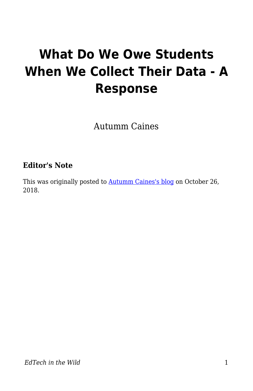# **What Do We Owe Students When We Collect Their Data - A Response**

Autumm Caines

#### **Editor's Note**

This was originally posted to **Autumm Caines's blog** on October 26, 2018.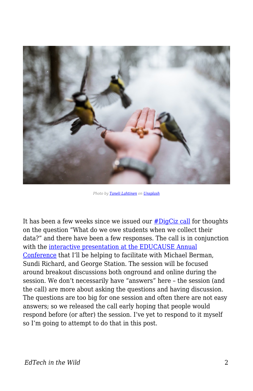

*Photo by [Taneli Lahtinen](https://unsplash.com/photos/r3M0GhVlUYo?utm_source=unsplash&utm_medium=referral&utm_content=creditCopyText) on [Unsplash](https://unsplash.com/search/photos/hand-feeding?utm_source=unsplash&utm_medium=referral&utm_content=creditCopyText)*

It has been a few weeks since we issued our [#DigCiz call](https://digciz.org/students/digciz-call-for-engagement-what-do-we-owe-students-when-we-collect-their-data/) for thoughts on the question "What do we owe students when we collect their data?" and there have been a few responses. The call is in conjunction with the [interactive presentation at the EDUCAUSE Annual](https://events.educause.edu/annual-conference/2018/agenda/what-do-we-owe-students-when-we-collect-their-data) [Conference](https://events.educause.edu/annual-conference/2018/agenda/what-do-we-owe-students-when-we-collect-their-data) that I'll be helping to facilitate with Michael Berman, Sundi Richard, and George Station. The session will be focused around breakout discussions both onground and online during the session. We don't necessarily have "answers" here – the session (and the call) are more about asking the questions and having discussion. The questions are too big for one session and often there are not easy answers; so we released the call early hoping that people would respond before (or after) the session. I've yet to respond to it myself so I'm going to attempt to do that in this post.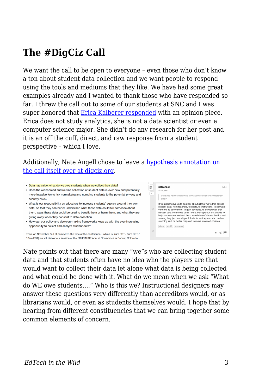### **The #DigCiz Call**

We want the call to be open to everyone – even those who don't know a ton about student data collection and we want people to respond using the tools and mediums that they like. We have had some great examples already and I wanted to thank those who have responded so far. I threw the call out to some of our students at SNC and I was super honored that [Erica Kalberer responded](http://ericakalberer.com/techbar/opiniononusingstudentdata/) with an opinion piece. Erica does not study analytics, she is not a data scientist or even a computer science major. She didn't do any research for her post and it is an off the cuff, direct, and raw response from a student perspective – which I love.

Additionally, Nate Angell chose to leave a [hypothesis annotation on](https://hyp.is/go?url=https%3A%2F%2Fdigciz.org%2Fstudents%2Fdigciz-call-for-engagement-what-do-we-owe-students-when-we-collect-their-data%2F) [the call itself over at digciz.org](https://hyp.is/go?url=https%3A%2F%2Fdigciz.org%2Fstudents%2Fdigciz-call-for-engagement-what-do-we-owe-students-when-we-collect-their-data%2F).

- Data has value; what do we owe students when we collect their data?
- . Does the widespread and routine collection of student data in ever new and potentially more-invasive forms risk normalizing and numbing students to the potential privacy and security risks?
- . What is our responsibility as educators to increase students' agency around their own data, so that they can better understand what these data could tell someone about them, ways these data could be used to benefit them or harm them, and what they are giving away when they consent to data collection.
- How can our policy and decision-making frameworks keep up with the ever-increasing opportunity to collect and analyze student data?

Then, on November 2nd at 8am MDT (the time at the conference - which is: 7am PDT / 9am CDT / 10am EDT) we will deliver our session at the EDUCAUSE Annual Conference in Denver, Colorado.



Nate points out that there are many "we"s who are collecting student data and that students often have no idea who the players are that would want to collect their data let alone what data is being collected and what could be done with it. What do we mean when we ask "What do WE owe students…." Who is this we? Instructional designers may answer these questions very differently than accreditors would, or as librarians would, or even as students themselves would. I hope that by hearing from different constituencies that we can bring together some common elements of concern.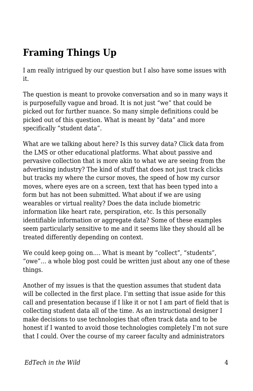## **Framing Things Up**

I am really intrigued by our question but I also have some issues with it.

The question is meant to provoke conversation and so in many ways it is purposefully vague and broad. It is not just "we" that could be picked out for further nuance. So many simple definitions could be picked out of this question. What is meant by "data" and more specifically "student data".

What are we talking about here? Is this survey data? Click data from the LMS or other educational platforms. What about passive and pervasive collection that is more akin to what we are seeing from the advertising industry? The kind of stuff that does not just track clicks but tracks my where the cursor moves, the speed of how my cursor moves, where eyes are on a screen, text that has been typed into a form but has not been submitted. What about if we are using wearables or virtual reality? Does the data include biometric information like heart rate, perspiration, etc. Is this personally identifiable information or aggregate data? Some of these examples seem particularly sensitive to me and it seems like they should all be treated differently depending on context.

We could keep going on.... What is meant by "collect", "students", "owe"… a whole blog post could be written just about any one of these things.

Another of my issues is that the question assumes that student data will be collected in the first place. I'm setting that issue aside for this call and presentation because if I like it or not I am part of field that is collecting student data all of the time. As an instructional designer I make decisions to use technologies that often track data and to be honest if I wanted to avoid those technologies completely I'm not sure that I could. Over the course of my career faculty and administrators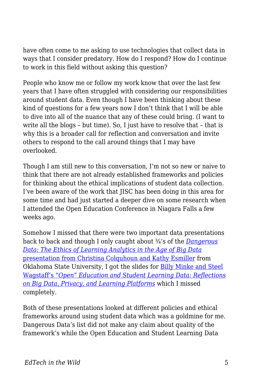have often come to me asking to use technologies that collect data in ways that I consider predatory. How do I respond? How do I continue to work in this field without asking this question?

People who know me or follow my work know that over the last few years that I have often struggled with considering our responsibilities around student data. Even though I have been thinking about these kind of questions for a few years now I don't think that I will be able to dive into all of the nuance that any of these could bring. (I want to write all the blogs – but time). So, I just have to resolve that – that is why this is a broader call for reflection and conversation and invite others to respond to the call around things that I may have overlooked.

Though I am still new to this conversation, I'm not so new or naive to think that there are not already established frameworks and policies for thinking about the ethical implications of student data collection. I've been aware of the work that JISC has been doing in this area for some time and had just started a deeper dive on some research when I attended the Open Education Conference in Niagara Falls a few weeks ago.

Somehow I missed that there were two important data presentations back to back and though I only caught about ¾'s of the *[Dangerous](https://docs.google.com/presentation/d/1vNyBDw8ltzgaSTis0EAR-wPYCB_XMxe8TSEHzrBGw3k/edit#slide=id.p) [Data: The Ethics of Learning Analytics in the Age of Big Data](https://docs.google.com/presentation/d/1vNyBDw8ltzgaSTis0EAR-wPYCB_XMxe8TSEHzrBGw3k/edit#slide=id.p)* [presentation from Christina Colquhoun and Kathy Esmiller](https://docs.google.com/presentation/d/1vNyBDw8ltzgaSTis0EAR-wPYCB_XMxe8TSEHzrBGw3k/edit#slide=id.p) from Oklahoma State University, I got the slides for [Billy Minke and Steel](https://docs.google.com/presentation/d/1XSvgJMR4XQgeoKFxVXJ9v7702_3TI_ha9HCAETFO3oY/edit#slide=id.p) [Wagstaff's](https://docs.google.com/presentation/d/1XSvgJMR4XQgeoKFxVXJ9v7702_3TI_ha9HCAETFO3oY/edit#slide=id.p) *["Open" Education and Student Learning Data: Reflections](https://docs.google.com/presentation/d/1XSvgJMR4XQgeoKFxVXJ9v7702_3TI_ha9HCAETFO3oY/edit#slide=id.p) [on Big Data, Privacy, and Learning Platforms](https://docs.google.com/presentation/d/1XSvgJMR4XQgeoKFxVXJ9v7702_3TI_ha9HCAETFO3oY/edit#slide=id.p)* which I missed completely.

Both of these presentations looked at different policies and ethical frameworks around using student data which was a goldmine for me. Dangerous Data's list did not make any claim about quality of the framework's while the Open Education and Student Learning Data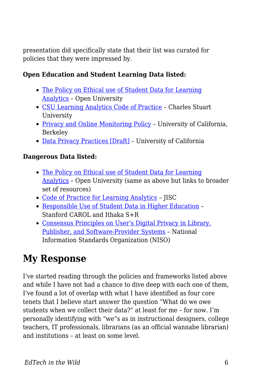presentation did specifically state that their list was curated for policies that they were impressed by.

#### **Open Education and Student Learning Data listed:**

- [The Policy on Ethical use of Student Data for Learning](https://help.open.ac.uk/documents/policies/ethical-use-of-student-data/files/22/ethical-use-of-student-data-policy.pdf) [Analytics](https://help.open.ac.uk/documents/policies/ethical-use-of-student-data/files/22/ethical-use-of-student-data-policy.pdf) – Open University
- [CSU Learning Analytics Code of Practice](http://www.csu.edu.au/__data/assets/pdf_file/0007/2160484/2016_CSU_LearningAnalyticsCodePractice.pdf)  Charles Stuart University
- [Privacy and Online Monitoring Policy](https://berkeley.app.box.com/v/monitoring)  University of California, Berkeley
- [Data Privacy Practices \[Draft\]](https://www.ets.berkeley.edu/sites/default/files/general/university_of_california_learning_data_privacy_principles_handout.pdf)  University of California

#### **Dangerous Data listed:**

- [The Policy on Ethical use of Student Data for Learning](https://help.open.ac.uk/documents/policies/ethical-use-of-student-data) [Analytics](https://help.open.ac.uk/documents/policies/ethical-use-of-student-data) – Open University (same as above but links to broader set of resources)
- [Code of Practice for Learning Analytics](https://www.jisc.ac.uk/guides/code-of-practice-for-learning-analytics) JISC
- [Responsible Use of Student Data in Higher Education](http://sr.ithaka.org/blog/stanford-and-ithaka-sr-project-on-responsible-use-of-student-data-in-higher-education/)  Stanford CAROL and Ithaka S+R
- [Consensus Principles on User's Digital Privacy in Library,](https://www.niso.org/publications/privacy-principles) [Publisher, and Software-Provider Systems](https://www.niso.org/publications/privacy-principles) – National Information Standards Organization (NISO)

## **My Response**

I've started reading through the policies and frameworks listed above and while I have not had a chance to dive deep with each one of them, I've found a lot of overlap with what I have identified as four core tenets that I believe start answer the question "What do we owe students when we collect their data?" at least for me – for now. I'm personally identifying with "we"s as in instructional designers, college teachers, IT professionals, librarians (as an official wannabe librarian) and institutions – at least on some level.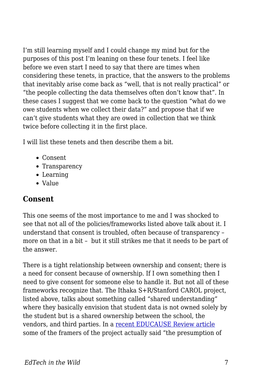I'm still learning myself and I could change my mind but for the purposes of this post I'm leaning on these four tenets. I feel like before we even start I need to say that there are times when considering these tenets, in practice, that the answers to the problems that inevitably arise come back as "well, that is not really practical" or "the people collecting the data themselves often don't know that". In these cases I suggest that we come back to the question "what do we owe students when we collect their data?" and propose that if we can't give students what they are owed in collection that we think twice before collecting it in the first place.

I will list these tenets and then describe them a bit.

- Consent
- Transparency
- Learning
- Value

#### **Consent**

This one seems of the most importance to me and I was shocked to see that not all of the policies/frameworks listed above talk about it. I understand that consent is troubled, often because of transparency – more on that in a bit – but it still strikes me that it needs to be part of the answer.

There is a tight relationship between ownership and consent; there is a need for consent because of ownership. If I own something then I need to give consent for someone else to handle it. But not all of these frameworks recognize that. The Ithaka S+R/Stanford CAROL project, listed above, talks about something called "shared understanding" where they basically envision that student data is not owned solely by the student but is a shared ownership between the school, the vendors, and third parties. In a [recent EDUCAUSE Review article](https://er.educause.edu/articles/2018/5/setting-the-table-responsible-use-of-student-data-in-higher-education) some of the framers of the project actually said "the presumption of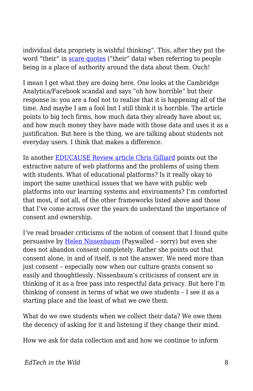individual data propriety is wishful thinking". This, after they put the word "their" in [scare quotes](https://en.wikipedia.org/wiki/Scare_quotes) ("their" data) when referring to people being in a place of authority around the data about them. Ouch!

I mean I get what they are doing here. One looks at the Cambridge Analytica/Facebook scandal and says "oh how horrible" but their response is: you are a fool not to realize that it is happening all of the time. And maybe I am a fool but I still think it is horrible. The article points to big tech firms, how much data they already have about us, and how much money they have made with those data and uses it as a justification. But here is the thing, we are talking about students not everyday users. I think that makes a difference.

In another [EDUCAUSE Review article Chris Gilliard](https://er.educause.edu/articles/2017/7/pedagogy-and-the-logic-of-platforms) points out the extractive nature of web platforms and the problems of using them with students. What of educational platforms? Is it really okay to import the same unethical issues that we have with public web platforms into our learning systems and environments? I'm comforted that most, if not all, of the other frameworks listed above and those that I've come across over the years do understand the importance of consent and ownership.

I've read broader criticisms of the notion of consent that I found quite persuasive by [Helen Nissenbaum](https://hbr.org/2018/09/stop-thinking-about-consent-it-isnt-possible-and-it-isnt-right) (Paywalled – sorry) but even she does not abandon consent completely. Rather she points out that consent alone, in and of itself, is not the answer. We need more than just consent – especially now when our culture grants consent so easily and thoughtlessly. Nissenbaum's criticisms of consent are in thinking of it as a free pass into respectful data privacy. But here I'm thinking of consent in terms of what we owe students – I see it as a starting place and the least of what we owe them.

What do we owe students when we collect their data? We owe them the decency of asking for it and listening if they change their mind.

How we ask for data collection and and how we continue to inform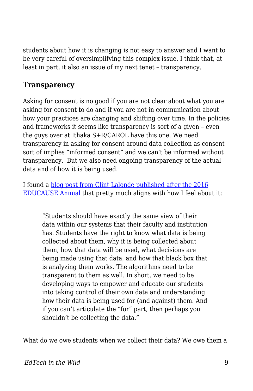students about how it is changing is not easy to answer and I want to be very careful of oversimplifying this complex issue. I think that, at least in part, it also an issue of my next tenet – transparency.

#### **Transparency**

Asking for consent is no good if you are not clear about what you are asking for consent to do and if you are not in communication about how your practices are changing and shifting over time. In the policies and frameworks it seems like transparency is sort of a given – even the guys over at Ithaka S+R/CAROL have this one. We need transparency in asking for consent around data collection as consent sort of implies "informed consent" and we can't be informed without transparency. But we also need ongoing transparency of the actual data and of how it is being used.

I found a [blog post from Clint Lalonde published after the 2016](http://clintlalonde.net/2016/10/31/learning-analytics-transparency/) [EDUCAUSE Annual](http://clintlalonde.net/2016/10/31/learning-analytics-transparency/) that pretty much aligns with how I feel about it:

"Students should have exactly the same view of their data within our systems that their faculty and institution has. Students have the right to know what data is being collected about them, why it is being collected about them, how that data will be used, what decisions are being made using that data, and how that black box that is analyzing them works. The algorithms need to be transparent to them as well. In short, we need to be developing ways to empower and educate our students into taking control of their own data and understanding how their data is being used for (and against) them. And if you can't articulate the "for" part, then perhaps you shouldn't be collecting the data."

What do we owe students when we collect their data? We owe them a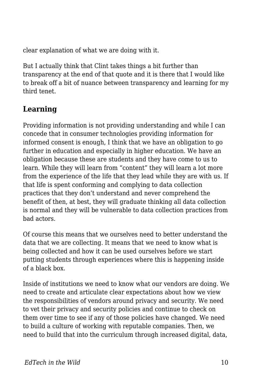clear explanation of what we are doing with it.

But I actually think that Clint takes things a bit further than transparency at the end of that quote and it is there that I would like to break off a bit of nuance between transparency and learning for my third tenet.

### **Learning**

Providing information is not providing understanding and while I can concede that in consumer technologies providing information for informed consent is enough, I think that we have an obligation to go further in education and especially in higher education. We have an obligation because these are students and they have come to us to learn. While they will learn from "content" they will learn a lot more from the experience of the life that they lead while they are with us. If that life is spent conforming and complying to data collection practices that they don't understand and never comprehend the benefit of then, at best, they will graduate thinking all data collection is normal and they will be vulnerable to data collection practices from bad actors.

Of course this means that we ourselves need to better understand the data that we are collecting. It means that we need to know what is being collected and how it can be used ourselves before we start putting students through experiences where this is happening inside of a black box.

Inside of institutions we need to know what our vendors are doing. We need to create and articulate clear expectations about how we view the responsibilities of vendors around privacy and security. We need to vet their privacy and security policies and continue to check on them over time to see if any of those policies have changed. We need to build a culture of working with reputable companies. Then, we need to build that into the curriculum through increased digital, data,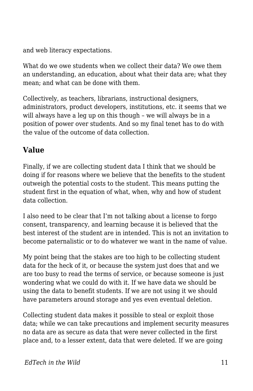and web literacy expectations.

What do we owe students when we collect their data? We owe them an understanding, an education, about what their data are; what they mean; and what can be done with them.

Collectively, as teachers, librarians, instructional designers, administrators, product developers, institutions, etc. it seems that we will always have a leg up on this though – we will always be in a position of power over students. And so my final tenet has to do with the value of the outcome of data collection.

#### **Value**

Finally, if we are collecting student data I think that we should be doing if for reasons where we believe that the benefits to the student outweigh the potential costs to the student. This means putting the student first in the equation of what, when, why and how of student data collection.

I also need to be clear that I'm not talking about a license to forgo consent, transparency, and learning because it is believed that the best interest of the student are in intended. This is not an invitation to become paternalistic or to do whatever we want in the name of value.

My point being that the stakes are too high to be collecting student data for the heck of it, or because the system just does that and we are too busy to read the terms of service, or because someone is just wondering what we could do with it. If we have data we should be using the data to benefit students. If we are not using it we should have parameters around storage and yes even eventual deletion.

Collecting student data makes it possible to steal or exploit those data; while we can take precautions and implement security measures no data are as secure as data that were never collected in the first place and, to a lesser extent, data that were deleted. If we are going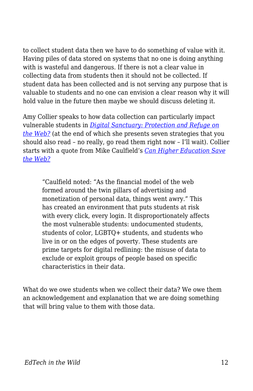to collect student data then we have to do something of value with it. Having piles of data stored on systems that no one is doing anything with is wasteful and dangerous. If there is not a clear value in collecting data from students then it should not be collected. If student data has been collected and is not serving any purpose that is valuable to students and no one can envision a clear reason why it will hold value in the future then maybe we should discuss deleting it.

Amy Collier speaks to how data collection can particularly impact vulnerable students in *[Digital Sanctuary: Protection and Refuge on](https://er.educause.edu/articles/2017/8/digital-sanctuary-protection-and-refuge-on-the-web) [the Web?](https://er.educause.edu/articles/2017/8/digital-sanctuary-protection-and-refuge-on-the-web)* (at the end of which she presents seven strategies that you should also read – no really, go read them right now – I'll wait). Collier starts with a quote from Mike Caulfield's *[Can Higher Education Save](https://er.educause.edu/articles/2017/1/can-higher-education-save-the-web) [the Web?](https://er.educause.edu/articles/2017/1/can-higher-education-save-the-web)*

"Caulfield noted: "As the financial model of the web formed around the twin pillars of advertising and monetization of personal data, things went awry." This has created an environment that puts students at risk with every click, every login. It disproportionately affects the most vulnerable students: undocumented students, students of color, LGBTQ+ students, and students who live in or on the edges of poverty. These students are prime targets for digital redlining: the misuse of data to exclude or exploit groups of people based on specific characteristics in their data.

What do we owe students when we collect their data? We owe them an acknowledgement and explanation that we are doing something that will bring value to them with those data.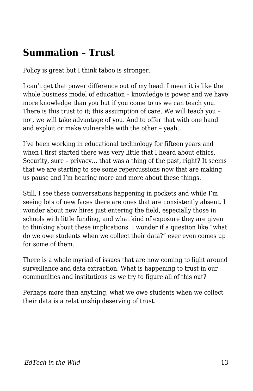### **Summation – Trust**

Policy is great but I think taboo is stronger.

I can't get that power difference out of my head. I mean it is like the whole business model of education – knowledge is power and we have more knowledge than you but if you come to us we can teach you. There is this trust to it; this assumption of care. We will teach you – not, we will take advantage of you. And to offer that with one hand and exploit or make vulnerable with the other – yeah…

I've been working in educational technology for fifteen years and when I first started there was very little that I heard about ethics. Security, sure – privacy… that was a thing of the past, right? It seems that we are starting to see some repercussions now that are making us pause and I'm hearing more and more about these things.

Still, I see these conversations happening in pockets and while I'm seeing lots of new faces there are ones that are consistently absent. I wonder about new hires just entering the field, especially those in schools with little funding, and what kind of exposure they are given to thinking about these implications. I wonder if a question like "what do we owe students when we collect their data?" ever even comes up for some of them.

There is a whole myriad of issues that are now coming to light around surveillance and data extraction. What is happening to trust in our communities and institutions as we try to figure all of this out?

Perhaps more than anything, what we owe students when we collect their data is a relationship deserving of trust.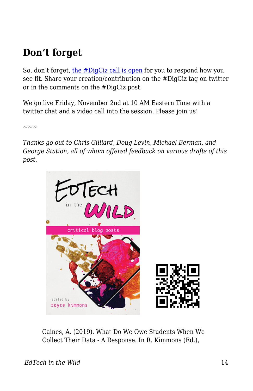### **Don't forget**

So, don't forget, [the #DigCiz call is open](https://digciz.org/students/digciz-call-for-engagement-what-do-we-owe-students-when-we-collect-their-data/) for you to respond how you see fit. Share your creation/contribution on the #DigCiz tag on twitter or in the comments on the #DigCiz post.

We go live Friday, November 2nd at 10 AM Eastern Time with a twitter chat and a video call into the session. Please join us!

 $\sim\,\sim\,\sim$ 

*Thanks go out to Chris Gilliard, Doug Levin, Michael Berman, and George Station, all of whom offered feedback on various drafts of this post.*



Caines, A. (2019). What Do We Owe Students When We Collect Their Data - A Response. In R. Kimmons (Ed.),